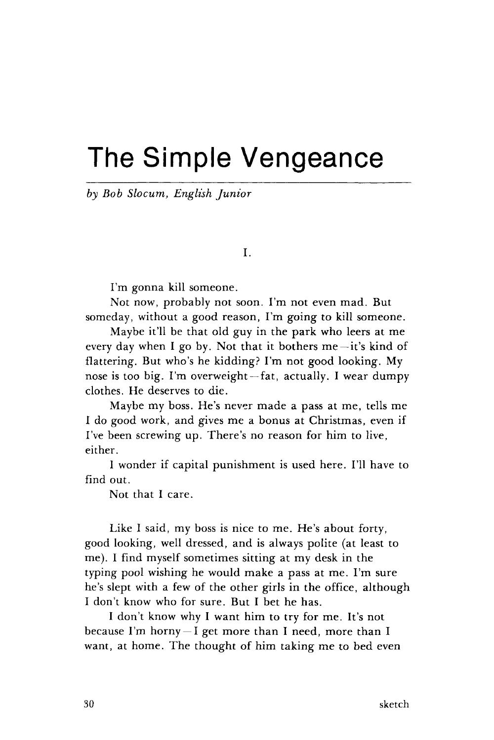## The Simple Vengeance

*by Bob Slocum, English Junior* 

I.

I'm gonna kill someone.

Not now, probably not soon. I'm not even mad. But someday, without a good reason, I'm going to kill someone.

Maybe it'll be that old guy in the park who leers at me every day when I go by. Not that it bothers me —it's kind of flattering. But who's he kidding? I'm not good looking. My nose is too big. I'm overweight —fat, actually. I wear dumpy clothes. He deserves to die.

Maybe my boss. He's never made a pass at me, tells me I do good work, and gives me a bonus at Christmas, even if I've been screwing up. There's no reason for him to live, either.

I wonder if capital punishment is used here. I'll have to find out.

Not that I care.

Like I said, my boss is nice to me. He's about forty, good looking, well dressed, and is always polite (at least to me). I find myself sometimes sitting at my desk in the typing pool wishing he would make a pass at me. I'm sure he's slept with a few of the other girls in the office, although I don't know who for sure. But I bet he has.

I don't know why I want him to try for me. It's not because I'm horny  $-I$  get more than I need, more than I want, at home. The thought of him taking me to bed even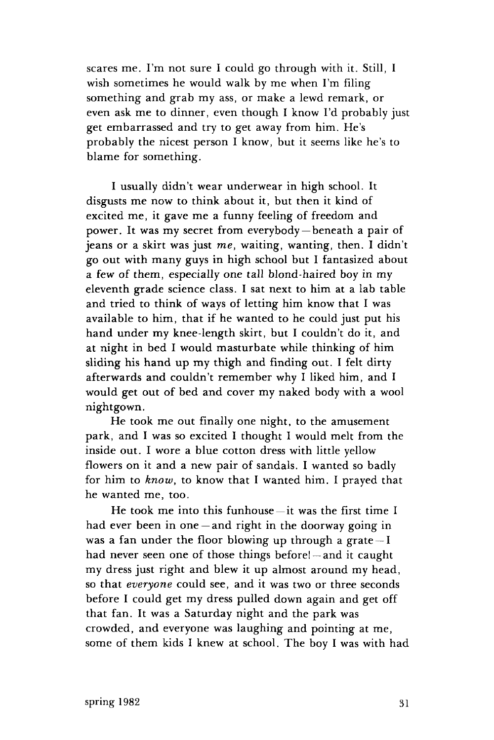scares me. I'm not sure I could go through with it. Still, I wish sometimes he would walk by me when I'm filing something and grab my ass, or make a lewd remark, or even ask me to dinner, even though I know I'd probably just get embarrassed and try to get away from him. He's probably the nicest person I know, but it seems like he's to blame for something.

I usually didn't wear underwear in high school. It disgusts me now to think about it, but then it kind of excited me, it gave me a funny feeling of freedom and power. It was my secret from everybody —beneath a pair of jeans or a skirt was just *me,* waiting, wanting, then. I didn't go out with many guys in high school but I fantasized about a few of them, especially one tall blond-haired boy in my eleventh grade science class. I sat next to him at a lab table and tried to think of ways of letting him know that I was available to him, that if he wanted to he could just put his hand under my knee-length skirt, but I couldn't do it, and at night in bed I would masturbate while thinking of him sliding his hand up my thigh and finding out. I felt dirty afterwards and couldn't remember why I liked him, and I would get out of bed and cover my naked body with a wool nightgown.

He took me out finally one night, to the amusement park, and I was so excited I thought I would melt from the inside out. I wore a blue cotton dress with little yellow flowers on it and a new pair of sandals. I wanted so badly for him to *know,* to know that I wanted him. I prayed that he wanted me, too.

He took me into this funhouse $-$ it was the first time I had ever been in one — and right in the doorway going in was a fan under the floor blowing up through a grate —I had never seen one of those things before! —and it caught my dress just right and blew it up almost around my head, so that *everyone* could see, and it was two or three seconds before I could get my dress pulled down again and get off that fan. It was a Saturday night and the park was crowded, and everyone was laughing and pointing at me, some of them kids I knew at school. The boy I was with had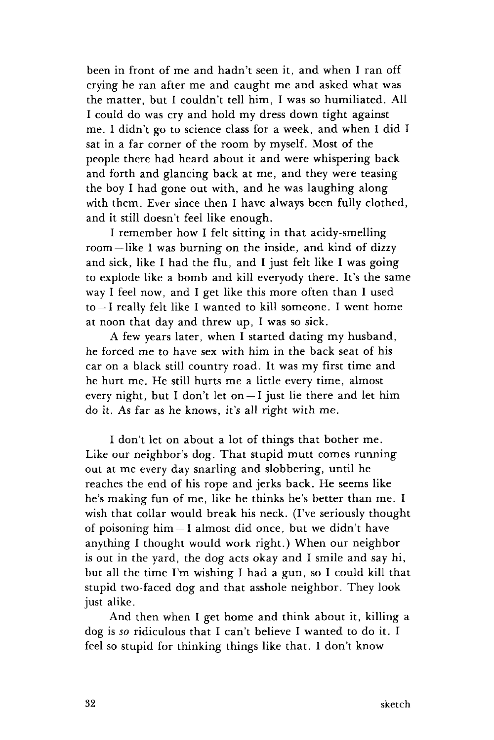been in front of me and hadn't seen it, and when I ran off crying he ran after me and caught me and asked what was the matter, but I couldn't tell him, I was so humiliated. All I could do was cry and hold my dress down tight against me. I didn't go to science class for a week, and when I did I sat in a far corner of the room by myself. Most of the people there had heard about it and were whispering back and forth and glancing back at me, and they were teasing the boy I had gone out with, and he was laughing along with them. Ever since then I have always been fully clothed, and it still doesn't feel like enough.

I remember how I felt sitting in that acidy-smelling room—like I was burning on the inside, and kind of dizzy and sick, like I had the flu, and I just felt like I was going to explode like a bomb and kill everyody there. It's the same way I feel now, and I get like this more often than I used to —I really felt like I wanted to kill someone. I went home at noon that day and threw up, I was so sick.

A few years later, when I started dating my husband, he forced me to have sex with him in the back seat of his car on a black still country road. It was my first time and he hurt me. He still hurts me a little every time, almost every night, but I don't let on  $-1$  just lie there and let him do it. As far as he knows, it's all right with me.

I don't let on about a lot of things that bother me. Like our neighbor's dog. That stupid mutt comes running out at me every day snarling and slobbering, until he reaches the end of his rope and jerks back. He seems like he's making fun of me, like he thinks he's better than me. I wish that collar would break his neck. (I've seriously thought of poisoning  $him - I$  almost did once, but we didn't have anything I thought would work right.) When our neighbor is out in the yard, the dog acts okay and I smile and say hi, but all the time I'm wishing I had a gun, so I could kill that stupid two-faced dog and that asshole neighbor. They look just alike.

And then when I get home and think about it, killing a dog is *so* ridiculous that I can't believe I wanted to do it. I feel so stupid for thinking things like that. I don't know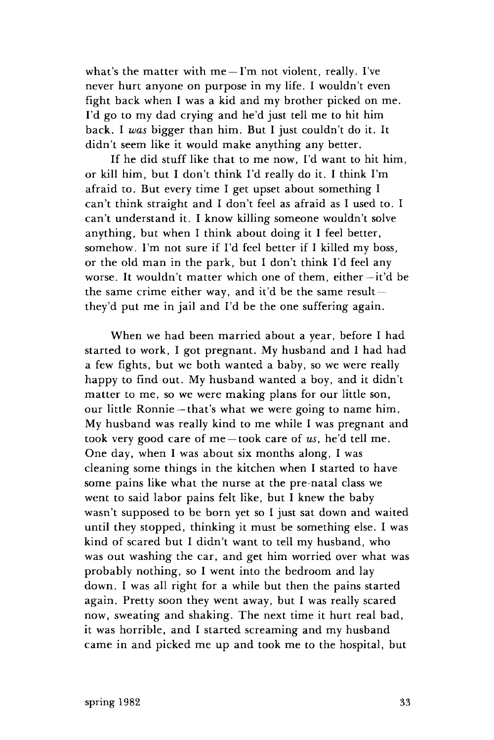what's the matter with  $me - l'm$  not violent, really. I've never hurt anyone on purpose in my life. I wouldn't even fight back when I was a kid and my brother picked on me. I'd go to my dad crying and he'd just tell me to hit him back. I *was* bigger than him. But I just couldn't do it. It didn't seem like it would make anything any better.

If he did stuff like that to me now, I'd want to hit him, or kill him, but I don't think I'd really do it. I think I'm afraid to. But every time I get upset about something I can't think straight and I don't feel as afraid as I used to. I can't understand it. I know killing someone wouldn't solve anything, but when I think about doing it I feel better, somehow. I'm not sure if I'd feel better if I killed my boss, or the old man in the park, but I don't think I'd feel any worse. It wouldn't matter which one of them, either —it'd be the same crime either way, and it'd be the same result they'd put me in jail and I'd be the one suffering again.

When we had been married about a year, before I had started to work, I got pregnant. My husband and I had had a few fights, but we both wanted a baby, so we were really happy to find out. My husband wanted a boy, and it didn't matter to me, so we were making plans for our little son, our little Ronnie —that's what we were going to name him. My husband was really kind to me while I was pregnant and took very good care of me —took care of *us,* he'd tell me. One day, when I was about six months along, I was cleaning some things in the kitchen when I started to have some pains like what the nurse at the pre-natal class we went to said labor pains felt like, but I knew the baby wasn't supposed to be born yet so I just sat down and waited until they stopped, thinking it must be something else. I was kind of scared but I didn't want to tell my husband, who was out washing the car, and get him worried over what was probably nothing, so I went into the bedroom and lay down. I was all right for a while but then the pains started again. Pretty soon they went away, but I was really scared now, sweating and shaking. The next time it hurt real bad, it was horrible, and I started screaming and my husband came in and picked me up and took me to the hospital, but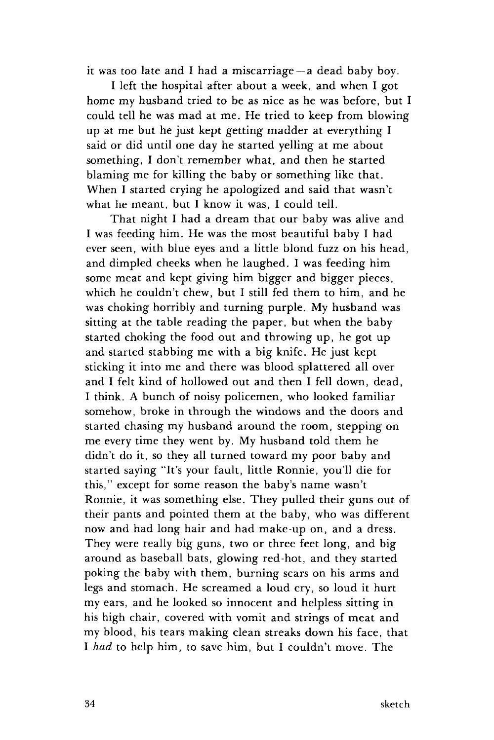it was too late and I had a miscarriage —a dead baby boy.

I left the hospital after about a week, and when I got home my husband tried to be as nice as he was before, but I could tell he was mad at me. He tried to keep from blowing up at me but he just kept getting madder at everything I said or did until one day he started yelling at me about something, I don't remember what, and then he started blaming me for killing the baby or something like that. When I started crying he apologized and said that wasn't what he meant, but I know it was, I could tell.

That night I had a dream that our baby was alive and I was feeding him. He was the most beautiful baby I had ever seen, with blue eyes and a little blond fuzz on his head, and dimpled cheeks when he laughed. I was feeding him some meat and kept giving him bigger and bigger pieces, which he couldn't chew, but I still fed them to him, and he was choking horribly and turning purple. My husband was sitting at the table reading the paper, but when the baby started choking the food out and throwing up, he got up and started stabbing me with a big knife. He just kept sticking it into me and there was blood splattered all over and I felt kind of hollowed out and then I fell down, dead, I think. A bunch of noisy policemen, who looked familiar somehow, broke in through the windows and the doors and started chasing my husband around the room, stepping on me every time they went by. My husband told them he didn't do it, so they all turned toward my poor baby and started saying "It's your fault, little Ronnie, you'll die for this," except for some reason the baby's name wasn't Ronnie, it was something else. They pulled their guns out of their pants and pointed them at the baby, who was different now and had long hair and had make-up on, and a dress. They were really big guns, two or three feet long, and big around as baseball bats, glowing red-hot, and they started poking the baby with them, burning scars on his arms and legs and stomach. He screamed a loud cry, so loud it hurt my ears, and he looked so innocent and helpless sitting in his high chair, covered with vomit and strings of meat and my blood, his tears making clean streaks down his face, that I *had* to help him, to save him, but I couldn't move. The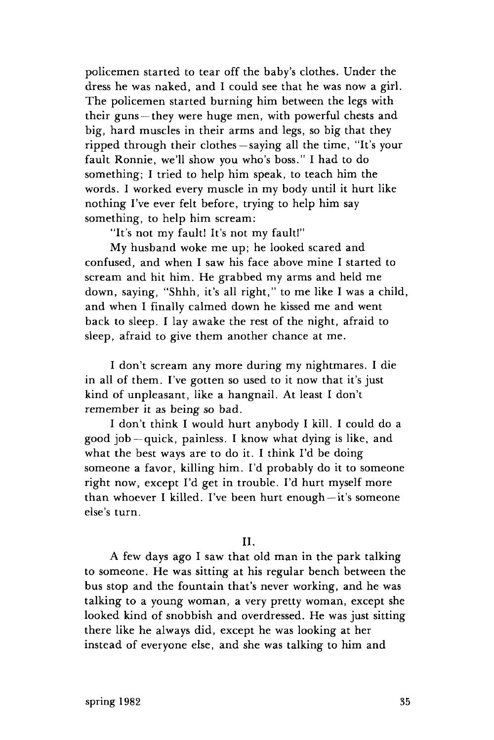policemen started to tear off the baby's clothes. Under the dress he was naked, and I could see that he was now a girl. The policemen started burning him between the legs with their guns —they were huge men, with powerful chests and big, hard muscles in their arms and legs, so big that they ripped through their clothes —saying all the time, "It's your fault Ronnie, we'll show you who's boss." I had to do something; I tried to help him speak, to teach him the words. I worked every muscle in my body until it hurt like nothing I've ever felt before, trying to help him say something, to help him scream:

"It's not my fault! It's not my faultl"

My husband woke me up; he looked scared and confused, and when I saw his face above mine I started to scream and hit him. He grabbed my arms and held me down, saying, "Shhh, it's all right," to me like I was a child, and when I finally calmed down he kissed me and went back to sleep. I lay awake the rest of the night, afraid to sleep, afraid to give them another chance at me.

I don't scream any more during my nightmares. I die in all of them. I've gotten so used to it now that it's just kind of unpleasant, like a hangnail. At least I don't remember it as being so bad.

I don't think I would hurt anybody I kill. I could do a good job —quick, painless. I know what dying is like, and what the best ways are to do it. I think I'd be doing someone a favor, killing him. I'd probably do it to someone right now, except I'd get in trouble. I'd hurt myself more than whoever I killed. I've been hurt enough —it's someone else's turn.

II.

A few days ago I saw that old man in the park talking to someone. He was sitting at his regular bench between the bus stop and the fountain that's never working, and he was talking to a young woman, a very pretty woman, except she looked kind of snobbish and overdressed. He was just sitting there like he always did, except he was looking at her instead of everyone else, and she was talking to him and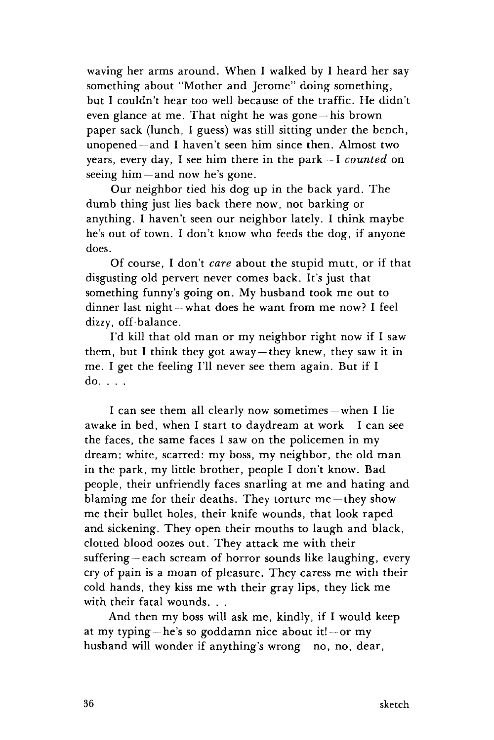waving her arms around. When I walked by I heard her say something about "Mother and Jerome" doing something, but I couldn't hear too well because of the traffic. He didn't even glance at me. That night he was gone —his brown paper sack (lunch, I guess) was still sitting under the bench, unopened —and I haven't seen him since then. Almost two years, every day, I see him there in the park—I *counted* on seeing him —and now he's gone.

Our neighbor tied his dog up in the back yard. The dumb thing just lies back there now, not barking or anything. I haven't seen our neighbor lately. I think maybe he's out of town. I don't know who feeds the dog, if anyone does.

Of course, I don't *care* about the stupid mutt, or if that disgusting old pervert never comes back. It's just that something funny's going on. My husband took me out to dinner last night —what does he want from me now? I feel dizzy, off-balance.

I'd kill that old man or my neighbor right now if I saw them, but I think they got away —they knew, they saw it in me. I get the feeling I'll never see them again. But if I do. . . .

I can see them all clearly now sometimes — when I lie awake in bed, when I start to daydream at work —I can see the faces, the same faces I saw on the policemen in my dream: white, scarred: my boss, my neighbor, the old man in the park, my little brother, people I don't know. Bad people, their unfriendly faces snarling at me and hating and blaming me for their deaths. They torture me—they show me their bullet holes, their knife wounds, that look raped and sickening. They open their mouths to laugh and black, clotted blood oozes out. They attack me with their suffering — each scream of horror sounds like laughing, every cry of pain is a moan of pleasure. They caress me with their cold hands, they kiss me wth their gray lips, they lick me with their fatal wounds. . .

And then my boss will ask me, kindly, if I would keep at my typing —he's so goddamn nice about it!—or my husband will wonder if anything's wrong —no, no, dear,